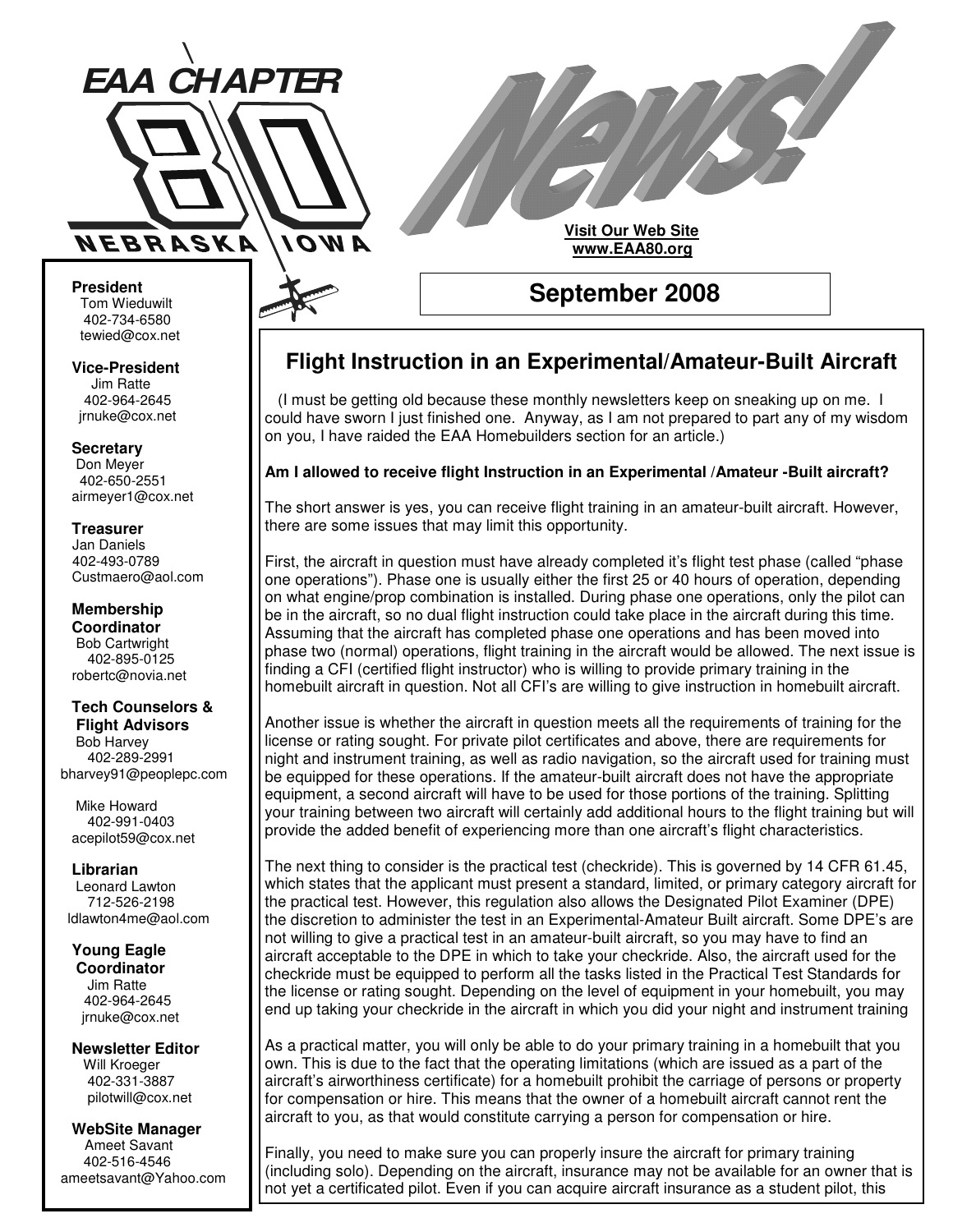

# **Visit Our Web Site www.EAA80.org**

**President** Tom Wieduwilt 402-734-6580 tewied@cox.net

**Vice-President** Jim Ratte 402-964-2645 jrnuke@cox.net

**Secretary** Don Meyer 402-650-2551 airmeyer1@cox.net

**Treasurer** Jan Daniels 402-493-0789 Custmaero@aol.com

**Membership Coordinator** Bob Cartwright 402-895-0125 robertc@novia.net

#### **Tech Counselors & Flight Advisors**

Bob Harvey 402-289-2991 bharvey91@peoplepc.com

Mike Howard 402-991-0403 acepilot59@cox.net

**Librarian** Leonard Lawton 712-526-2198 ldlawton4me@aol.com

**Young Eagle Coordinator** Jim Ratte 402-964-2645 jrnuke@cox.net

**Newsletter Editor** Will Kroeger 402-331-3887 pilotwill@cox.net

**WebSite Manager** Ameet Savant 402-516-4546 ameetsavant@Yahoo.com

## **September 2008**

## **Flight Instruction in an Experimental/Amateur-Built Aircraft**

(I must be getting old because these monthly newsletters keep on sneaking up on me. I could have sworn I just finished one. Anyway, as I am not prepared to part any of my wisdom on you, I have raided the EAA Homebuilders section for an article.)

#### **Am I allowed to receive flight Instruction in an Experimental /Amateur -Built aircraft?**

The short answer is yes, you can receive flight training in an amateur-built aircraft. However, there are some issues that may limit this opportunity.

First, the aircraft in question must have already completed it's flight test phase (called "phase one operations"). Phase one is usually either the first 25 or 40 hours of operation, depending on what engine/prop combination is installed. During phase one operations, only the pilot can be in the aircraft, so no dual flight instruction could take place in the aircraft during this time. Assuming that the aircraft has completed phase one operations and has been moved into phase two (normal) operations, flight training in the aircraft would be allowed. The next issue is finding a CFI (certified flight instructor) who is willing to provide primary training in the homebuilt aircraft in question. Not all CFI's are willing to give instruction in homebuilt aircraft.

Another issue is whether the aircraft in question meets all the requirements of training for the license or rating sought. For private pilot certificates and above, there are requirements for night and instrument training, as well as radio navigation, so the aircraft used for training must be equipped for these operations. If the amateur-built aircraft does not have the appropriate equipment, a second aircraft will have to be used for those portions of the training. Splitting your training between two aircraft will certainly add additional hours to the flight training but will provide the added benefit of experiencing more than one aircraft's flight characteristics.

The next thing to consider is the practical test (checkride). This is governed by 14 CFR 61.45, which states that the applicant must present a standard, limited, or primary category aircraft for the practical test. However, this regulation also allows the Designated Pilot Examiner (DPE) the discretion to administer the test in an Experimental-Amateur Built aircraft. Some DPE's are not willing to give a practical test in an amateur-built aircraft, so you may have to find an aircraft acceptable to the DPE in which to take your checkride. Also, the aircraft used for the checkride must be equipped to perform all the tasks listed in the Practical Test Standards for the license or rating sought. Depending on the level of equipment in your homebuilt, you may end up taking your checkride in the aircraft in which you did your night and instrument training

As a practical matter, you will only be able to do your primary training in a homebuilt that you own. This is due to the fact that the operating limitations (which are issued as a part of the aircraft's airworthiness certificate) for a homebuilt prohibit the carriage of persons or property for compensation or hire. This means that the owner of a homebuilt aircraft cannot rent the aircraft to you, as that would constitute carrying a person for compensation or hire.

Finally, you need to make sure you can properly insure the aircraft for primary training (including solo). Depending on the aircraft, insurance may not be available for an owner that is not yet a certificated pilot. Even if you can acquire aircraft insurance as a student pilot, this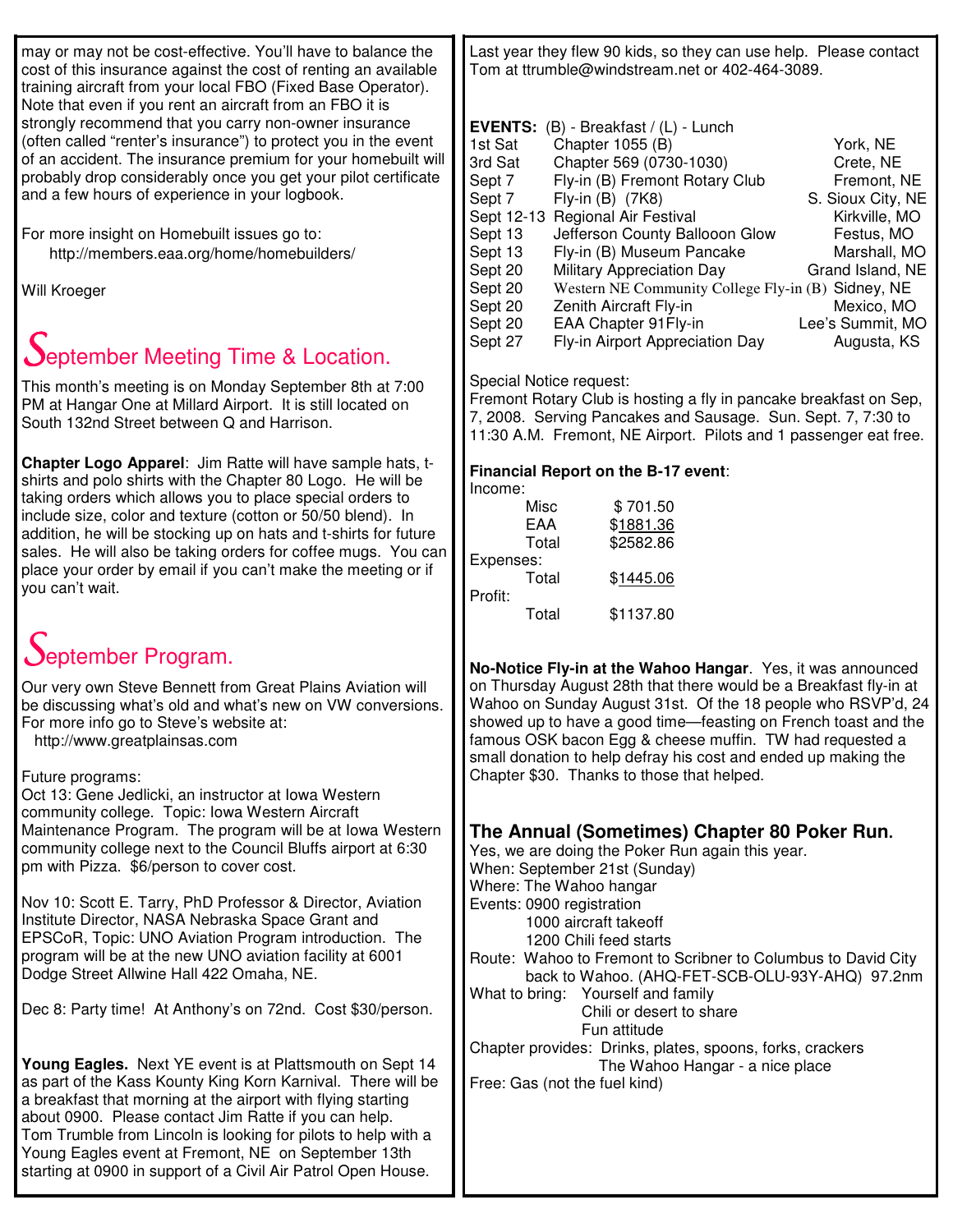may or may not be cost-effective. You'll have to balance the cost of this insurance against the cost of renting an available training aircraft from your local FBO (Fixed Base Operator). Note that even if you rent an aircraft from an FBO it is strongly recommend that you carry non-owner insurance (often called "renter's insurance") to protect you in the event of an accident. The insurance premium for your homebuilt will probably drop considerably once you get your pilot certificate and a few hours of experience in your logbook.

For more insight on Homebuilt issues go to: http://members.eaa.org/home/homebuilders/

Will Kroeger

# **September Meeting Time & Location.**

This month's meeting is on Monday September 8th at 7:00 PM at Hangar One at Millard Airport. It is still located on South 132nd Street between Q and Harrison.

**Chapter Logo Apparel**: Jim Ratte will have sample hats, tshirts and polo shirts with the Chapter 80 Logo. He will be taking orders which allows you to place special orders to include size, color and texture (cotton or 50/50 blend). In addition, he will be stocking up on hats and t-shirts for future sales. He will also be taking orders for coffee mugs. You can place your order by email if you can't make the meeting or if you can't wait.

# September Program.

Our very own Steve Bennett from Great Plains Aviation will be discussing what's old and what's new on VW conversions. For more info go to Steve's website at:

http://www.greatplainsas.com

Future programs:

Oct 13: Gene Jedlicki, an instructor at Iowa Western community college. Topic: Iowa Western Aircraft Maintenance Program. The program will be at Iowa Western community college next to the Council Bluffs airport at 6:30 pm with Pizza. \$6/person to cover cost.

Nov 10: Scott E. Tarry, PhD Professor & Director, Aviation Institute Director, NASA Nebraska Space Grant and EPSCoR, Topic: UNO Aviation Program introduction. The program will be at the new UNO aviation facility at 6001 Dodge Street Allwine Hall 422 Omaha, NE.

Dec 8: Party time! At Anthony's on 72nd. Cost \$30/person.

**Young Eagles.** Next YE event is at Plattsmouth on Sept 14 as part of the Kass Kounty King Korn Karnival. There will be a breakfast that morning at the airport with flying starting about 0900. Please contact Jim Ratte if you can help. Tom Trumble from Lincoln is looking for pilots to help with a Young Eagles event at Fremont, NE on September 13th starting at 0900 in support of a Civil Air Patrol Open House.

Last year they flew 90 kids, so they can use help. Please contact Tom at ttrumble@windstream.net or 402-464-3089.

| <b>EVENTS:</b> | $(B)$ - Breakfast / $(L)$ - Lunch                  |                   |
|----------------|----------------------------------------------------|-------------------|
| 1st Sat        | Chapter 1055 (B)                                   | York, NE          |
| 3rd Sat        | Chapter 569 (0730-1030)                            | Crete, NE         |
| Sept 7         | Fly-in (B) Fremont Rotary Club                     | Fremont, NE       |
| Sept 7         | Fly-in (B) (7K8)                                   | S. Sioux City, NE |
|                | Sept 12-13 Regional Air Festival                   | Kirkville, MO     |
| Sept 13        | Jefferson County Ballooon Glow                     | Festus, MO        |
| Sept 13        | Fly-in (B) Museum Pancake                          | Marshall, MO      |
| Sept 20        | <b>Military Appreciation Day</b>                   | Grand Island, NE  |
| Sept 20        | Western NE Community College Fly-in (B) Sidney, NE |                   |
| Sept 20        | Zenith Aircraft Fly-in                             | Mexico, MO        |
| Sept 20        | EAA Chapter 91 Fly-in                              | Lee's Summit, MO  |
| Sept 27        | Fly-in Airport Appreciation Day                    | Augusta, KS       |

#### Special Notice request:

Fremont Rotary Club is hosting a fly in pancake breakfast on Sep, 7, 2008. Serving Pancakes and Sausage. Sun. Sept. 7, 7:30 to 11:30 A.M. Fremont, NE Airport. Pilots and 1 passenger eat free.

#### **Financial Report on the B-17 event**:

| Income:   |           |
|-----------|-----------|
| Misc      | \$701.50  |
| EAA       | \$1881.36 |
| Total     | \$2582.86 |
| Expenses: |           |
| Total     | \$1445.06 |
| Profit:   |           |
| Total     | \$1137.80 |

**No-Notice Fly-in at the Wahoo Hangar**. Yes, it was announced on Thursday August 28th that there would be a Breakfast fly-in at Wahoo on Sunday August 31st. Of the 18 people who RSVP'd, 24 showed up to have a good time—feasting on French toast and the famous OSK bacon Egg & cheese muffin. TW had requested a small donation to help defray his cost and ended up making the Chapter \$30. Thanks to those that helped.

| The Annual (Sometimes) Chapter 80 Poker Run.                  |
|---------------------------------------------------------------|
| Yes, we are doing the Poker Run again this year.              |
| When: September 21st (Sunday)                                 |
| Where: The Wahoo hangar                                       |
| Events: 0900 registration                                     |
| 1000 aircraft takeoff                                         |
| 1200 Chili feed starts                                        |
| Route: Wahoo to Fremont to Scribner to Columbus to David City |
| back to Wahoo. (AHQ-FET-SCB-OLU-93Y-AHQ) 97.2nm               |
| What to bring: Yourself and family                            |
| Chili or desert to share                                      |
| Fun attitude                                                  |
| Chapter provides: Drinks, plates, spoons, forks, crackers     |
| The Wahoo Hangar - a nice place                               |
| Free: Gas (not the fuel kind)                                 |
|                                                               |
|                                                               |
|                                                               |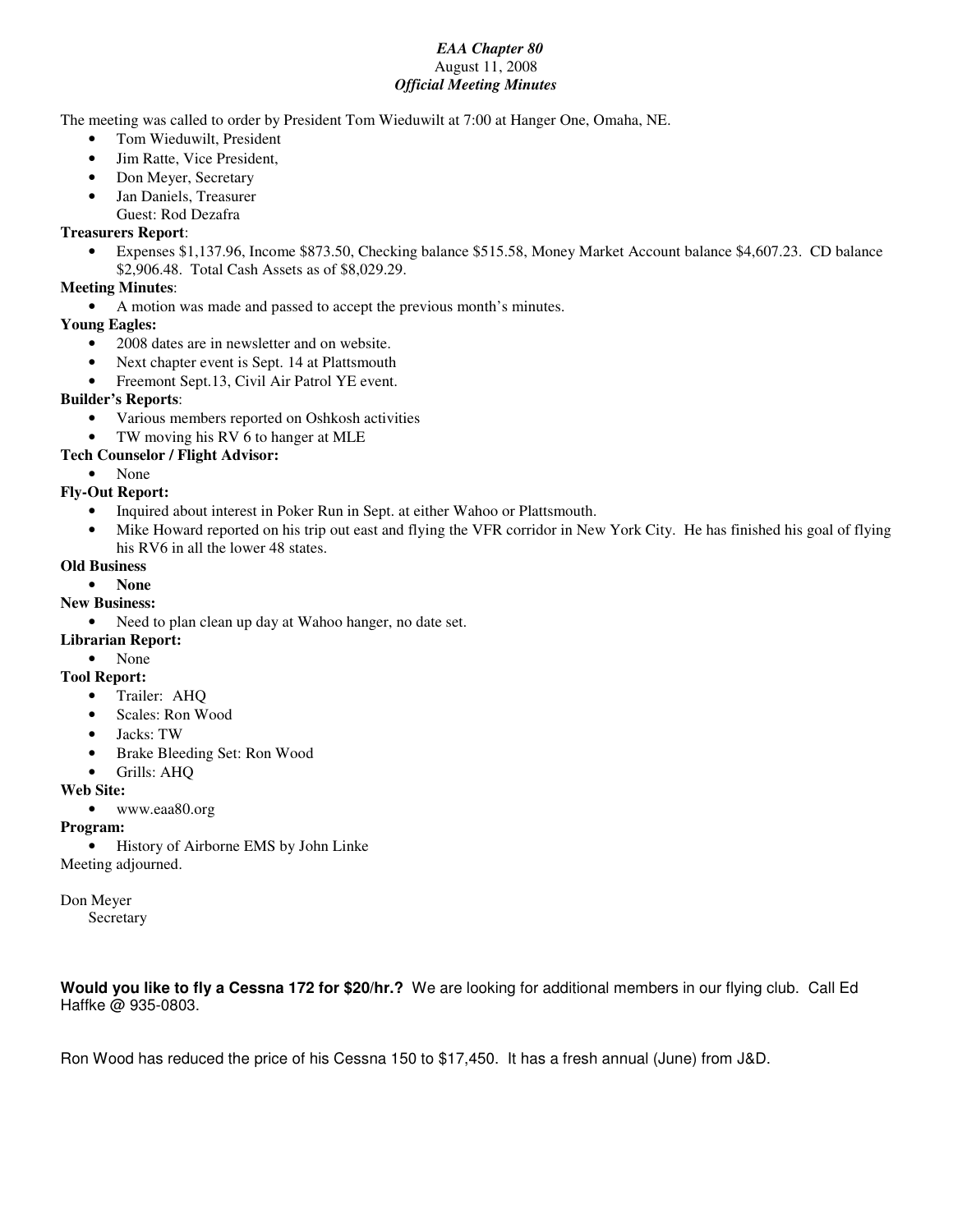#### *EAA Chapter 80* August 11, 2008 *Official Meeting Minutes*

The meeting was called to order by President Tom Wieduwilt at 7:00 at Hanger One, Omaha, NE.

- Tom Wieduwilt, President
- Jim Ratte, Vice President,
- Don Meyer, Secretary
- Jan Daniels, Treasurer
	- Guest: Rod Dezafra

#### **Treasurers Report**:

• Expenses \$1,137.96, Income \$873.50, Checking balance \$515.58, Money Market Account balance \$4,607.23. CD balance \$2,906.48. Total Cash Assets as of \$8,029.29.

#### **Meeting Minutes**:

• A motion was made and passed to accept the previous month's minutes.

#### **Young Eagles:**

- 2008 dates are in newsletter and on website.
- Next chapter event is Sept. 14 at Plattsmouth
- Freemont Sept.13, Civil Air Patrol YE event.

#### **Builder's Reports**:

- Various members reported on Oshkosh activities
- TW moving his RV 6 to hanger at MLE

#### **Tech Counselor / Flight Advisor:**

• None

#### **Fly-Out Report:**

- Inquired about interest in Poker Run in Sept. at either Wahoo or Plattsmouth.
- Mike Howard reported on his trip out east and flying the VFR corridor in New York City. He has finished his goal of flying his RV6 in all the lower 48 states.

#### **Old Business**

#### • **None**

#### **New Business:**

- Need to plan clean up day at Wahoo hanger, no date set.
- **Librarian Report:**
	- None

#### **Tool Report:**

- Trailer: AHQ
- Scales: Ron Wood
- Jacks: TW
- Brake Bleeding Set: Ron Wood
- Grills: AHQ

#### **Web Site:**

• www.eaa80.org

#### **Program:**

• History of Airborne EMS by John Linke Meeting adjourned.

#### Don Meyer

Secretary

**Would you like to fly a Cessna 172 for \$20/hr.?** We are looking for additional members in our flying club. Call Ed Haffke @ 935-0803.

Ron Wood has reduced the price of his Cessna 150 to \$17,450. It has a fresh annual (June) from J&D.